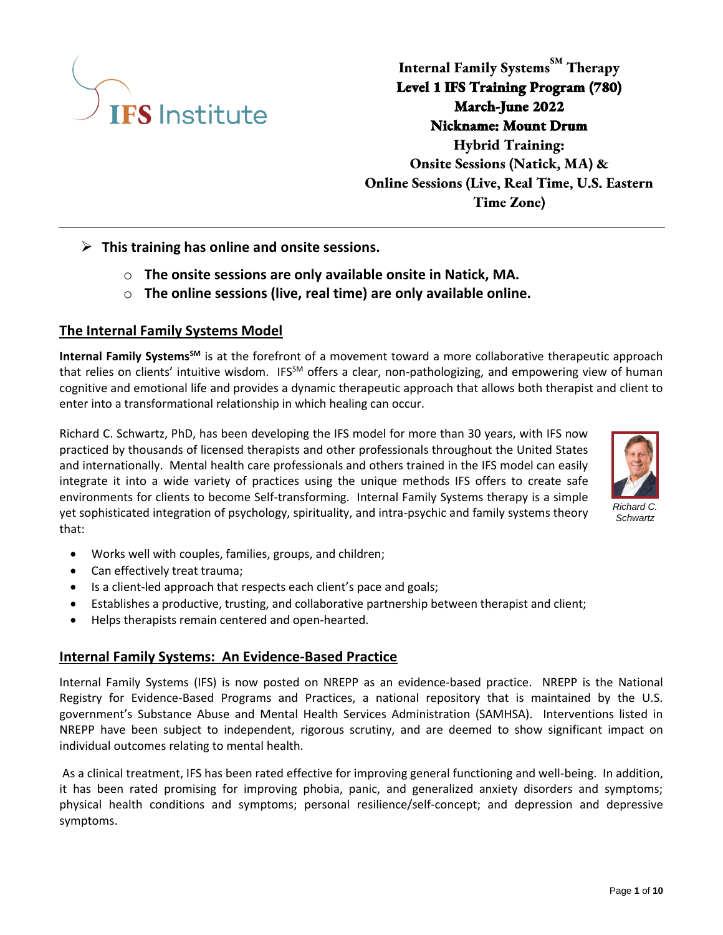

**Internal Family SystemsSM Therapy Level 1 IFS Training Program (780) March-June 2022 Nickname: Mount Drum** 

**Hybrid Training: Onsite Sessions (Natick, MA) & Online Sessions (Live, Real Time, U.S. Eastern Time Zone)** 

### ➢ **This training has online and onsite sessions.**

- o **The onsite sessions are only available onsite in Natick, MA.**
- o **The online sessions (live, real time) are only available online.**

## **The Internal Family Systems Model**

**Internal Family SystemsSM** is at the forefront of a movement toward a more collaborative therapeutic approach that relies on clients' intuitive wisdom. IFS<sup>SM</sup> offers a clear, non-pathologizing, and empowering view of human cognitive and emotional life and provides a dynamic therapeutic approach that allows both therapist and client to enter into a transformational relationship in which healing can occur.

Richard C. Schwartz, PhD, has been developing the IFS model for more than 30 years, with IFS now practiced by thousands of licensed therapists and other professionals throughout the United States and internationally. Mental health care professionals and others trained in the IFS model can easily integrate it into a wide variety of practices using the unique methods IFS offers to create safe environments for clients to become Self-transforming. Internal Family Systems therapy is a simple yet sophisticated integration of psychology, spirituality, and intra-psychic and family systems theory that:



*Richard C. Schwartz*

- Works well with couples, families, groups, and children;
- Can effectively treat trauma;
- Is a client-led approach that respects each client's pace and goals;
- Establishes a productive, trusting, and collaborative partnership between therapist and client;
- Helps therapists remain centered and open-hearted.

## **Internal Family Systems: An Evidence-Based Practice**

Internal Family Systems (IFS) is now posted on NREPP as an evidence-based practice. NREPP is the National Registry for Evidence-Based Programs and Practices, a national repository that is maintained by the U.S. government's Substance Abuse and Mental Health Services Administration (SAMHSA). Interventions listed in NREPP have been subject to independent, rigorous scrutiny, and are deemed to show significant impact on individual outcomes relating to mental health.

As a clinical treatment, IFS has been rated effective for improving general functioning and well-being. In addition, it has been rated promising for improving phobia, panic, and generalized anxiety disorders and symptoms; physical health conditions and symptoms; personal resilience/self-concept; and depression and depressive symptoms.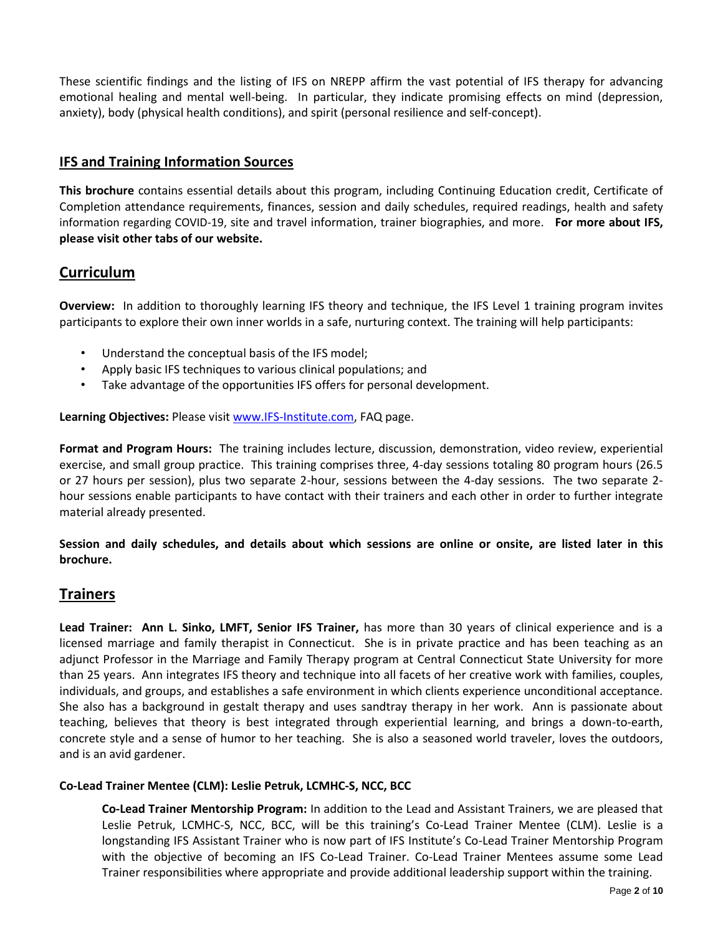These scientific findings and the listing of IFS on NREPP affirm the vast potential of IFS therapy for advancing emotional healing and mental well-being. In particular, they indicate promising effects on mind (depression, anxiety), body (physical health conditions), and spirit (personal resilience and self-concept).

### **IFS and Training Information Sources**

**This brochure** contains essential details about this program, including Continuing Education credit, Certificate of Completion attendance requirements, finances, session and daily schedules, required readings, health and safety information regarding COVID-19, site and travel information, trainer biographies, and more. **For more about IFS, please visit other tabs of our website.**

## **Curriculum**

**Overview:** In addition to thoroughly learning IFS theory and technique, the IFS Level 1 training program invites participants to explore their own inner worlds in a safe, nurturing context. The training will help participants:

- Understand the conceptual basis of the IFS model;
- Apply basic IFS techniques to various clinical populations; and
- Take advantage of the opportunities IFS offers for personal development.

**Learning Objectives:** Please visit [www.IFS-Institute.com,](http://www.selfleadership.org/) FAQ page.

**Format and Program Hours:** The training includes lecture, discussion, demonstration, video review, experiential exercise, and small group practice. This training comprises three, 4-day sessions totaling 80 program hours (26.5 or 27 hours per session), plus two separate 2-hour, sessions between the 4-day sessions. The two separate 2 hour sessions enable participants to have contact with their trainers and each other in order to further integrate material already presented.

**Session and daily schedules, and details about which sessions are online or onsite, are listed later in this brochure.**

## **Trainers**

**Lead Trainer: Ann L. Sinko, LMFT, Senior IFS Trainer,** has more than 30 years of clinical experience and is a licensed marriage and family therapist in Connecticut. She is in private practice and has been teaching as an adjunct Professor in the Marriage and Family Therapy program at Central Connecticut State University for more than 25 years. Ann integrates IFS theory and technique into all facets of her creative work with families, couples, individuals, and groups, and establishes a safe environment in which clients experience unconditional acceptance. She also has a background in gestalt therapy and uses sandtray therapy in her work. Ann is passionate about teaching, believes that theory is best integrated through experiential learning, and brings a down-to-earth, concrete style and a sense of humor to her teaching. She is also a seasoned world traveler, loves the outdoors, and is an avid gardener.

#### **Co-Lead Trainer Mentee (CLM): Leslie Petruk, LCMHC-S, NCC, BCC**

**Co-Lead Trainer Mentorship Program:** In addition to the Lead and Assistant Trainers, we are pleased that Leslie Petruk, LCMHC-S, NCC, BCC, will be this training's Co-Lead Trainer Mentee (CLM). Leslie is a longstanding IFS Assistant Trainer who is now part of IFS Institute's Co-Lead Trainer Mentorship Program with the objective of becoming an IFS Co-Lead Trainer. Co-Lead Trainer Mentees assume some Lead Trainer responsibilities where appropriate and provide additional leadership support within the training.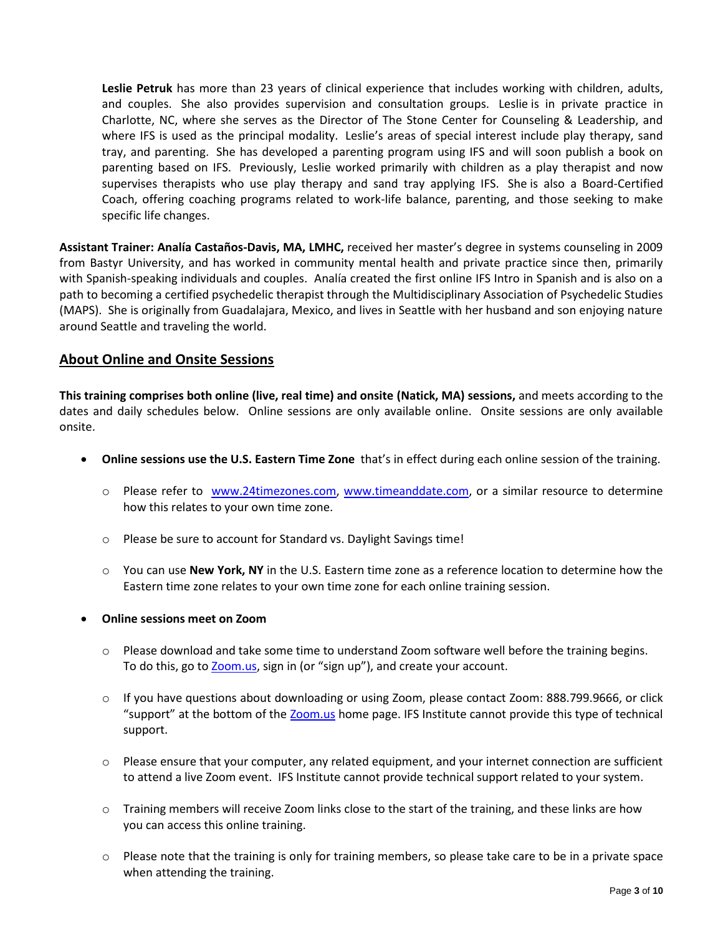**Leslie Petruk** has more than 23 years of clinical experience that includes working with children, adults, and couples. She also provides supervision and consultation groups. Leslie is in private practice in Charlotte, NC, where she serves as the Director of The Stone Center for Counseling & Leadership, and where IFS is used as the principal modality. Leslie's areas of special interest include play therapy, sand tray, and parenting. She has developed a parenting program using IFS and will soon publish a book on parenting based on IFS. Previously, Leslie worked primarily with children as a play therapist and now supervises therapists who use play therapy and sand tray applying IFS. She is also a Board-Certified Coach, offering coaching programs related to work-life balance, parenting, and those seeking to make specific life changes.

**Assistant Trainer: Analía Castaños-Davis, MA, LMHC,** received her master's degree in systems counseling in 2009 from Bastyr University, and has worked in community mental health and private practice since then, primarily with Spanish-speaking individuals and couples. Analía created the first online IFS Intro in Spanish and is also on a path to becoming a certified psychedelic therapist through the Multidisciplinary Association of Psychedelic Studies (MAPS). She is originally from Guadalajara, Mexico, and lives in Seattle with her husband and son enjoying nature around Seattle and traveling the world.

### **About Online and Onsite Sessions**

**This training comprises both online (live, real time) and onsite (Natick, MA) sessions,** and meets according to the dates and daily schedules below. Online sessions are only available online. Onsite sessions are only available onsite.

- **Online sessions use the U.S. Eastern Time Zone** that's in effect during each online session of the training.
	- o Please refer to [www.24timezones.com,](http://www.24timezones.com/) [www.timeanddate.com,](http://www.timeanddate.com/) or a similar resource to determine how this relates to your own time zone.
	- o Please be sure to account for Standard vs. Daylight Savings time!
	- o You can use **New York, NY** in the U.S. Eastern time zone as a reference location to determine how the Eastern time zone relates to your own time zone for each online training session.

#### • **Online sessions meet on Zoom**

- $\circ$  Please download and take some time to understand Zoom software well before the training begins. To do this, go to [Zoom.us](https://zoom.us/), sign in (or "sign up"), and create your account.
- o If you have questions about downloading or using Zoom, please contact Zoom: 888.799.9666, or click "support" at the bottom of the [Zoom.us](https://zoom.us/) home page. IFS Institute cannot provide this type of technical support.
- $\circ$  Please ensure that your computer, any related equipment, and your internet connection are sufficient to attend a live Zoom event. IFS Institute cannot provide technical support related to your system.
- o Training members will receive Zoom links close to the start of the training, and these links are how you can access this online training.
- o Please note that the training is only for training members, so please take care to be in a private space when attending the training.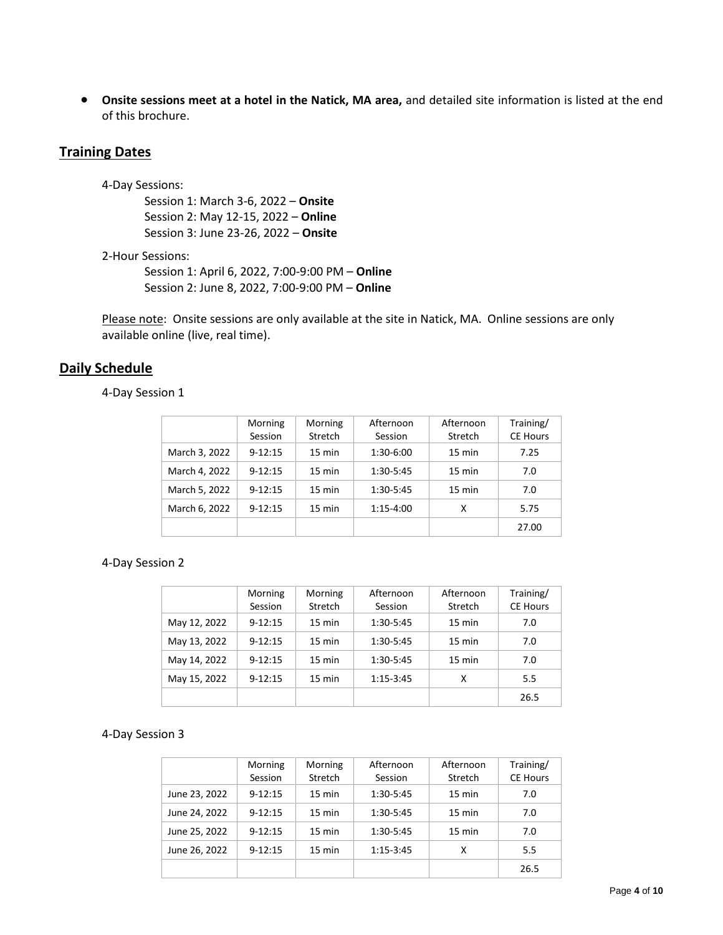• **Onsite sessions meet at a hotel in the Natick, MA area,** and detailed site information is listed at the end of this brochure.

## **Training Dates**

#### 4-Day Sessions:

Session 1: March 3-6, 2022 – **Onsite** Session 2: May 12-15, 2022 – **Online** Session 3: June 23-26, 2022 – **Onsite**

#### 2-Hour Sessions:

Session 1: April 6, 2022, 7:00-9:00 PM – **Online** Session 2: June 8, 2022, 7:00-9:00 PM – **Online**

Please note: Onsite sessions are only available at the site in Natick, MA. Online sessions are only available online (live, real time).

### **Daily Schedule**

4-Day Session 1

|               | Morning<br>Session | Morning<br>Stretch | Afternoon<br>Session | Afternoon<br>Stretch | Training/<br><b>CE Hours</b> |
|---------------|--------------------|--------------------|----------------------|----------------------|------------------------------|
| March 3, 2022 | $9 - 12:15$        | $15 \text{ min}$   | 1:30-6:00            | $15 \text{ min}$     | 7.25                         |
| March 4, 2022 | $9 - 12:15$        | $15 \text{ min}$   | 1:30-5:45            | 15 min               | 7.0                          |
| March 5, 2022 | $9 - 12:15$        | $15 \text{ min}$   | 1:30-5:45            | 15 min               | 7.0                          |
| March 6, 2022 | $9 - 12:15$        | 15 min             | $1:15-4:00$          | x                    | 5.75                         |
|               |                    |                    |                      |                      | 27.00                        |

#### 4-Day Session 2

|              | Morning     | Morning          | Afternoon   | Afternoon | Training/       |
|--------------|-------------|------------------|-------------|-----------|-----------------|
|              | Session     | Stretch          | Session     | Stretch   | <b>CE Hours</b> |
| May 12, 2022 | $9 - 12:15$ | $15 \text{ min}$ | 1:30-5:45   | 15 min    | 7.0             |
| May 13, 2022 | $9 - 12:15$ | $15 \text{ min}$ | 1:30-5:45   | 15 min    | 7.0             |
| May 14, 2022 | $9 - 12:15$ | 15 min           | 1:30-5:45   | 15 min    | 7.0             |
| May 15, 2022 | $9 - 12:15$ | 15 min           | $1:15-3:45$ | x         | 5.5             |
|              |             |                  |             |           | 26.5            |

#### 4-Day Session 3

|               | Morning<br>Session | Morning<br>Stretch | Afternoon<br>Session | Afternoon<br>Stretch | Training/<br><b>CE Hours</b> |
|---------------|--------------------|--------------------|----------------------|----------------------|------------------------------|
| June 23, 2022 | $9 - 12:15$        | $15 \text{ min}$   | 1:30-5:45            | $15 \text{ min}$     | 7.0                          |
| June 24, 2022 | $9 - 12:15$        | $15 \text{ min}$   | 1:30-5:45            | 15 min               | 7.0                          |
| June 25, 2022 | $9 - 12:15$        | $15 \text{ min}$   | 1:30-5:45            | $15 \text{ min}$     | 7.0                          |
| June 26, 2022 | $9 - 12:15$        | $15 \text{ min}$   | $1:15-3:45$          | x                    | 5.5                          |
|               |                    |                    |                      |                      | 26.5                         |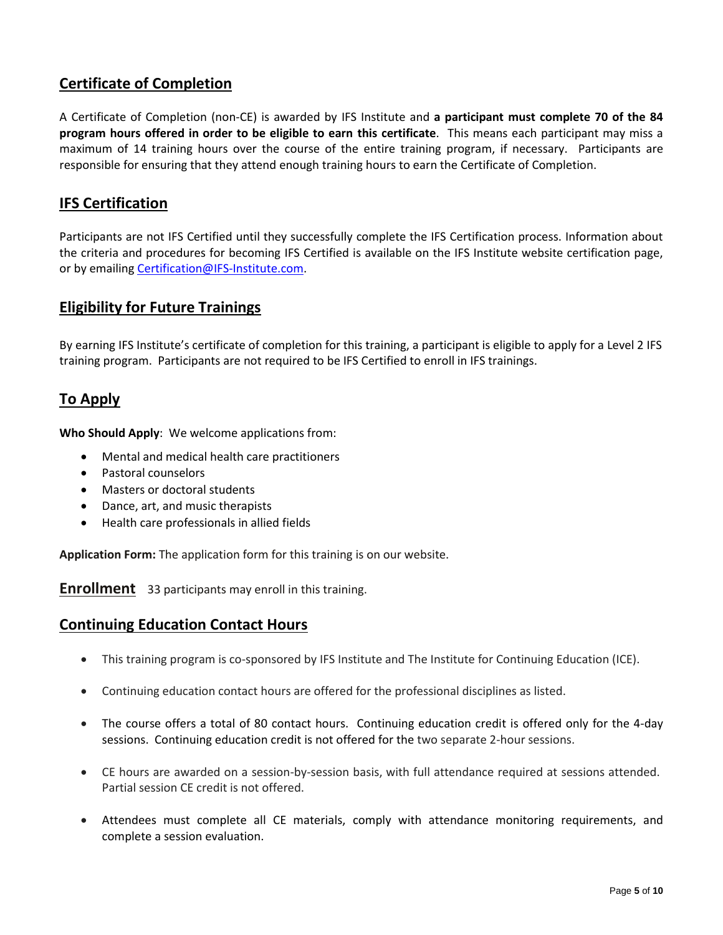# **Certificate of Completion**

A Certificate of Completion (non-CE) is awarded by IFS Institute and **a participant must complete 70 of the 84 program hours offered in order to be eligible to earn this certificate**. This means each participant may miss a maximum of 14 training hours over the course of the entire training program, if necessary. Participants are responsible for ensuring that they attend enough training hours to earn the Certificate of Completion.

# **IFS Certification**

Participants are not IFS Certified until they successfully complete the IFS Certification process. Information about the criteria and procedures for becoming IFS Certified is available on the IFS Institute website certification page, or by emailing [Certification@IFS-Institute.com.](mailto:Certification@IFS-Institute.com)

# **Eligibility for Future Trainings**

By earning IFS Institute's certificate of completion for this training, a participant is eligible to apply for a Level 2 IFS training program. Participants are not required to be IFS Certified to enroll in IFS trainings.

# **To Apply**

**Who Should Apply**: We welcome applications from:

- Mental and medical health care practitioners
- Pastoral counselors
- Masters or doctoral students
- Dance, art, and music therapists
- Health care professionals in allied fields

**Application Form:** The application form for this training is on our website.

**Enrollment** 33 participants may enroll in this training.

## **Continuing Education Contact Hours**

- This training program is co-sponsored by IFS Institute and The Institute for Continuing Education (ICE).
- Continuing education contact hours are offered for the professional disciplines as listed.
- The course offers a total of 80 contact hours. Continuing education credit is offered only for the 4-day sessions. Continuing education credit is not offered for the two separate 2-hour sessions.
- CE hours are awarded on a session-by-session basis, with full attendance required at sessions attended. Partial session CE credit is not offered.
- Attendees must complete all CE materials, comply with attendance monitoring requirements, and complete a session evaluation.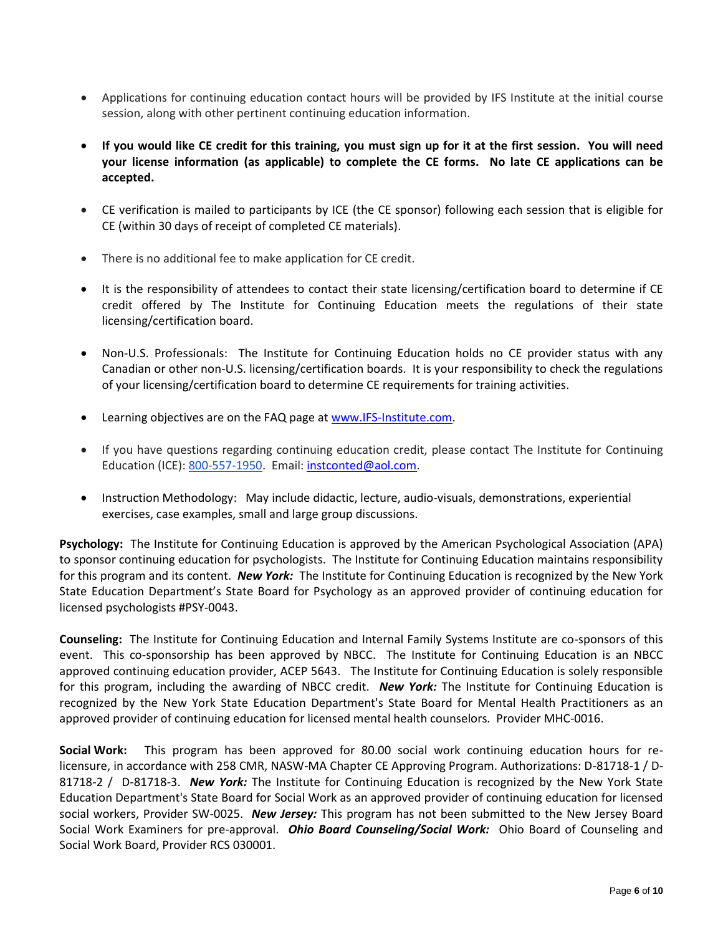- Applications for continuing education contact hours will be provided by IFS Institute at the initial course session, along with other pertinent continuing education information.
- **If you would like CE credit for this training, you must sign up for it at the first session. You will need your license information (as applicable) to complete the CE forms. No late CE applications can be accepted.**
- CE verification is mailed to participants by ICE (the CE sponsor) following each session that is eligible for CE (within 30 days of receipt of completed CE materials).
- There is no additional fee to make application for CE credit.
- It is the responsibility of attendees to contact their state licensing/certification board to determine if CE credit offered by The Institute for Continuing Education meets the regulations of their state licensing/certification board.
- Non-U.S. Professionals: The Institute for Continuing Education holds no CE provider status with any Canadian or other non-U.S. licensing/certification boards. It is your responsibility to check the regulations of your licensing/certification board to determine CE requirements for training activities.
- Learning objectives are on the FAQ page a[t www.IFS-Institute.com.](http://www.selfleadership.org/)
- If you have questions regarding continuing education credit, please contact The Institute for Continuing Education (ICE): 800-557-1950. Email: [instconted@aol.com.](mailto:instconted@aol.com)
- Instruction Methodology: May include didactic, lecture, audio-visuals, demonstrations, experiential exercises, case examples, small and large group discussions.

**Psychology:** The Institute for Continuing Education is approved by the American Psychological Association (APA) to sponsor continuing education for psychologists. The Institute for Continuing Education maintains responsibility for this program and its content. *New York:* The Institute for Continuing Education is recognized by the New York State Education Department's State Board for Psychology as an approved provider of continuing education for licensed psychologists #PSY-0043.

**Counseling:** The Institute for Continuing Education and Internal Family Systems Institute are co-sponsors of this event. This co-sponsorship has been approved by NBCC. The Institute for Continuing Education is an NBCC approved continuing education provider, ACEP 5643. The Institute for Continuing Education is solely responsible for this program, including the awarding of NBCC credit. *New York:* The Institute for Continuing Education is recognized by the New York State Education Department's State Board for Mental Health Practitioners as an approved provider of continuing education for licensed mental health counselors. Provider MHC-0016.

**Social Work:** This program has been approved for 80.00 social work continuing education hours for relicensure, in accordance with 258 CMR, NASW-MA Chapter CE Approving Program. Authorizations: D-81718-1 / D-81718-2 / D-81718-3. *New York:* The Institute for Continuing Education is recognized by the New York State Education Department's State Board for Social Work as an approved provider of continuing education for licensed social workers, Provider SW-0025. *New Jersey:* This program has not been submitted to the New Jersey Board Social Work Examiners for pre-approval. *Ohio Board Counseling/Social Work:* Ohio Board of Counseling and Social Work Board, Provider RCS 030001.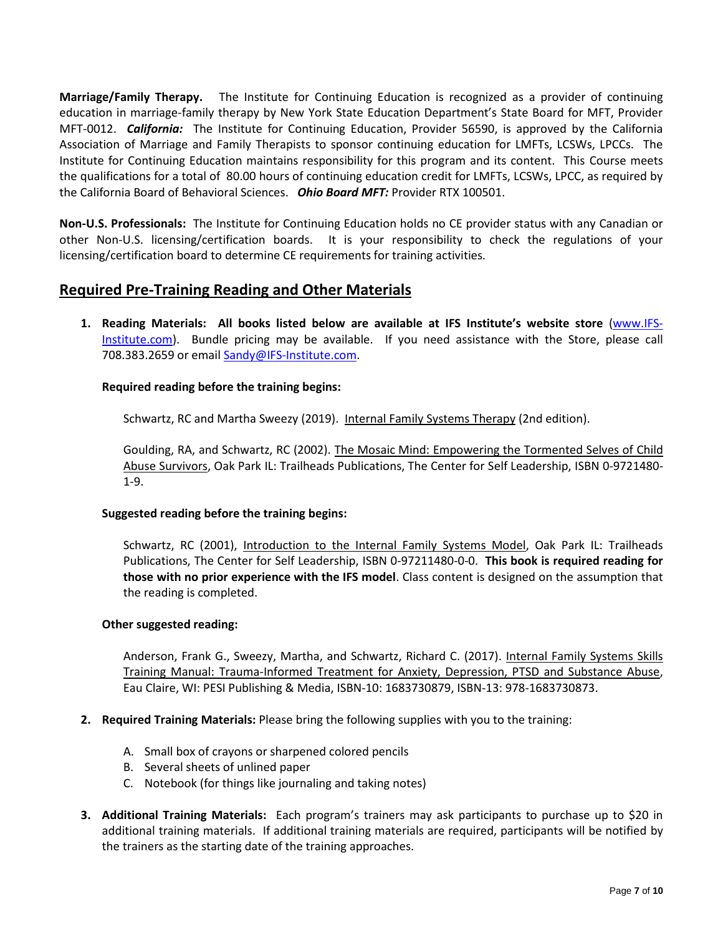**Marriage/Family Therapy.** The Institute for Continuing Education is recognized as a provider of continuing education in marriage-family therapy by New York State Education Department's State Board for MFT, Provider MFT-0012. *California:* The Institute for Continuing Education, Provider 56590, is approved by the California Association of Marriage and Family Therapists to sponsor continuing education for LMFTs, LCSWs, LPCCs. The Institute for Continuing Education maintains responsibility for this program and its content. This Course meets the qualifications for a total of 80.00 hours of continuing education credit for LMFTs, LCSWs, LPCC, as required by the California Board of Behavioral Sciences. *Ohio Board MFT:* Provider RTX 100501.

**Non-U.S. Professionals:** The Institute for Continuing Education holds no CE provider status with any Canadian or other Non-U.S. licensing/certification boards. It is your responsibility to check the regulations of your licensing/certification board to determine CE requirements for training activities.

## **Required Pre-Training Reading and Other Materials**

**1. Reading Materials: All books listed below are available at IFS Institute's website store** [\(www.IFS-](http://www.selfleadership.org/)[Institute.com\)](http://www.selfleadership.org/). Bundle pricing may be available. If you need assistance with the Store, please call 708.383.2659 or email Sandy@IFS-Institute.com.

#### **Required reading before the training begins:**

Schwartz, RC and Martha Sweezy (2019). Internal Family Systems Therapy (2nd edition).

Goulding, RA, and Schwartz, RC (2002). The Mosaic Mind: Empowering the Tormented Selves of Child Abuse Survivors, Oak Park IL: Trailheads Publications, The Center for Self Leadership, ISBN 0-9721480- 1-9.

#### **Suggested reading before the training begins:**

Schwartz, RC (2001), Introduction to the Internal Family Systems Model, Oak Park IL: Trailheads Publications, The Center for Self Leadership, ISBN 0-97211480-0-0. **This book is required reading for those with no prior experience with the IFS model**. Class content is designed on the assumption that the reading is completed.

#### **Other suggested reading:**

Anderson, Frank G., Sweezy, Martha, and Schwartz, Richard C. (2017). Internal Family Systems Skills Training Manual: Trauma-Informed Treatment for Anxiety, Depression, PTSD and Substance Abuse, Eau Claire, WI: PESI Publishing & Media, ISBN-10: 1683730879, ISBN-13: 978-1683730873.

- **2. Required Training Materials:** Please bring the following supplies with you to the training:
	- A. Small box of crayons or sharpened colored pencils
	- B. Several sheets of unlined paper
	- C. Notebook (for things like journaling and taking notes)
- **3. Additional Training Materials:** Each program's trainers may ask participants to purchase up to \$20 in additional training materials. If additional training materials are required, participants will be notified by the trainers as the starting date of the training approaches.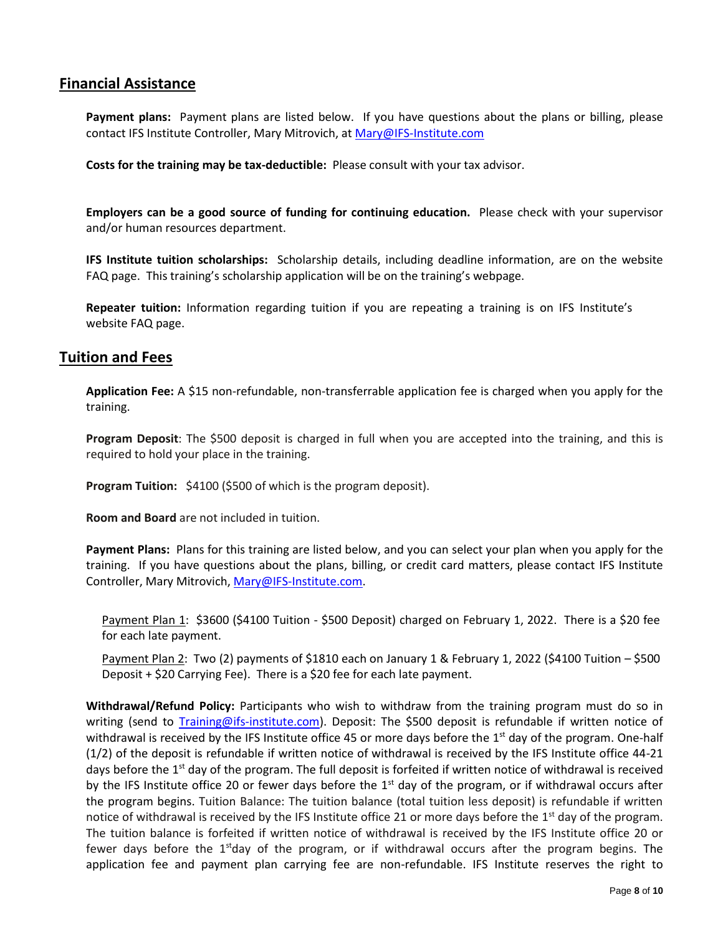## **Financial Assistance**

**Payment plans:** Payment plans are listed below. If you have questions about the plans or billing, please contact IFS Institute Controller, Mary Mitrovich, at [Mary@IFS-Institute.com](mailto:Mary@IFS-Institute.com)

**Costs for the training may be tax-deductible:** Please consult with your tax advisor.

**Employers can be a good source of funding for continuing education.** Please check with your supervisor and/or human resources department.

**IFS Institute tuition scholarships:** Scholarship details, including deadline information, are on the website FAQ page. This training's scholarship application will be on the training's webpage.

**Repeater tuition:** Information regarding tuition if you are repeating a training is on IFS Institute's website FAQ page.

### **Tuition and Fees**

**Application Fee:** A \$15 non-refundable, non-transferrable application fee is charged when you apply for the training.

**Program Deposit**: The \$500 deposit is charged in full when you are accepted into the training, and this is required to hold your place in the training.

**Program Tuition:** \$4100 (\$500 of which is the program deposit).

**Room and Board** are not included in tuition.

**Payment Plans:** Plans for this training are listed below, and you can select your plan when you apply for the training. If you have questions about the plans, billing, or credit card matters, please contact IFS Institute Controller, Mary Mitrovich[, Mary@IFS-Institute.com.](mailto:Mary@IFS-Institute.com)

Payment Plan 1: \$3600 (\$4100 Tuition - \$500 Deposit) charged on February 1, 2022. There is a \$20 fee for each late payment.

**Payment Plan 2:** Two (2) payments of \$1810 each on January 1 & February 1, 2022 (\$4100 Tuition – \$500 Deposit + \$20 Carrying Fee). There is a \$20 fee for each late payment.

**Withdrawal/Refund Policy:** Participants who wish to withdraw from the training program must do so in writing (send to [Training@ifs-institute.com\)](mailto:Training@ifs-institute.com). Deposit: The \$500 deposit is refundable if written notice of withdrawal is received by the IFS Institute office 45 or more days before the  $1<sup>st</sup>$  day of the program. One-half (1/2) of the deposit is refundable if written notice of withdrawal is received by the IFS Institute office 44-21 days before the  $1<sup>st</sup>$  day of the program. The full deposit is forfeited if written notice of withdrawal is received by the IFS Institute office 20 or fewer days before the  $1<sup>st</sup>$  day of the program, or if withdrawal occurs after the program begins. Tuition Balance: The tuition balance (total tuition less deposit) is refundable if written notice of withdrawal is received by the IFS Institute office 21 or more days before the 1<sup>st</sup> day of the program. The tuition balance is forfeited if written notice of withdrawal is received by the IFS Institute office 20 or fewer days before the  $1<sup>st</sup>$ day of the program, or if withdrawal occurs after the program begins. The application fee and payment plan carrying fee are non-refundable. IFS Institute reserves the right to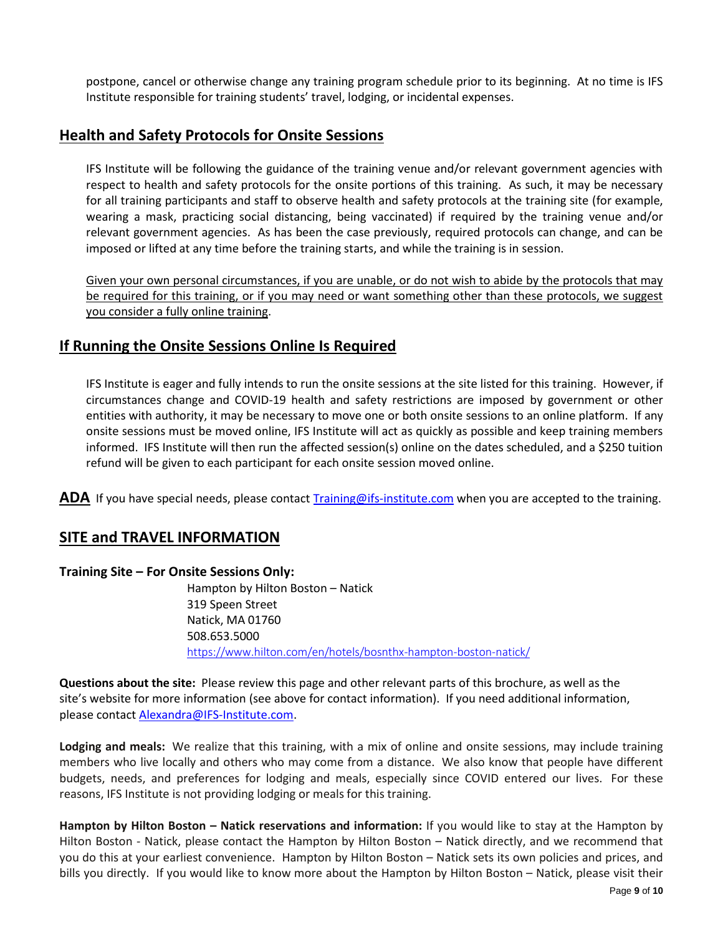postpone, cancel or otherwise change any training program schedule prior to its beginning. At no time is IFS Institute responsible for training students' travel, lodging, or incidental expenses.

## **Health and Safety Protocols for Onsite Sessions**

IFS Institute will be following the guidance of the training venue and/or relevant government agencies with respect to health and safety protocols for the onsite portions of this training. As such, it may be necessary for all training participants and staff to observe health and safety protocols at the training site (for example, wearing a mask, practicing social distancing, being vaccinated) if required by the training venue and/or relevant government agencies. As has been the case previously, required protocols can change, and can be imposed or lifted at any time before the training starts, and while the training is in session.

Given your own personal circumstances, if you are unable, or do not wish to abide by the protocols that may be required for this training, or if you may need or want something other than these protocols, we suggest you consider a fully online training.

# **If Running the Onsite Sessions Online Is Required**

IFS Institute is eager and fully intends to run the onsite sessions at the site listed for this training. However, if circumstances change and COVID-19 health and safety restrictions are imposed by government or other entities with authority, it may be necessary to move one or both onsite sessions to an online platform. If any onsite sessions must be moved online, IFS Institute will act as quickly as possible and keep training members informed. IFS Institute will then run the affected session(s) online on the dates scheduled, and a \$250 tuition refund will be given to each participant for each onsite session moved online.

**ADA** If you have special needs, please contact [Training@ifs-institute.com](mailto:Training@ifs-institute.com) when you are accepted to the training.

# **SITE and TRAVEL INFORMATION**

### **Training Site – For Onsite Sessions Only:**

Hampton by Hilton Boston – Natick 319 Speen Street Natick, MA 01760 508.653.5000 <https://www.hilton.com/en/hotels/bosnthx-hampton-boston-natick/>

**Questions about the site:** Please review this page and other relevant parts of this brochure, as well as the site's website for more information (see above for contact information). If you need additional information, please contac[t Alexandra@IFS-Institute.com.](mailto:Alexandra@IFS-Institute.com)

**Lodging and meals:** We realize that this training, with a mix of online and onsite sessions, may include training members who live locally and others who may come from a distance. We also know that people have different budgets, needs, and preferences for lodging and meals, especially since COVID entered our lives. For these reasons, IFS Institute is not providing lodging or meals for this training.

**Hampton by Hilton Boston – Natick reservations and information:** If you would like to stay at the Hampton by Hilton Boston - Natick, please contact the Hampton by Hilton Boston – Natick directly, and we recommend that you do this at your earliest convenience. Hampton by Hilton Boston – Natick sets its own policies and prices, and bills you directly. If you would like to know more about the Hampton by Hilton Boston – Natick, please visit their